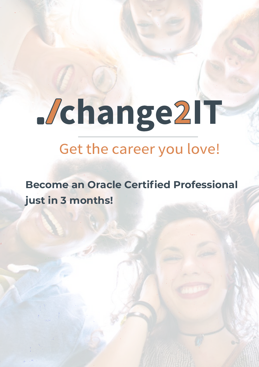## Jchange2IT

## Get the career you love!

**Become an Oracle Certified Professional just in 3 months!**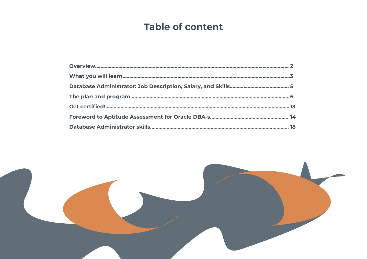## **Table of content**



- . . . . . . . . . . 2
- ...........3
- .......... 5
- ...........6
- ...........13
- .......... 14
- ........... 18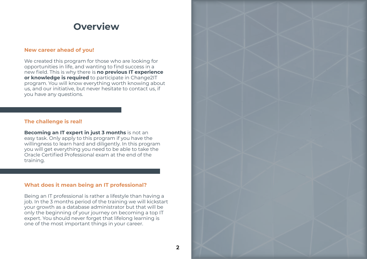#### <span id="page-2-0"></span>**New career ahead of you!**

We created this program for those who are looking for opportunities in life, and wanting to find success in a new field. This is why there is **no previous IT experience or knowledge is required** to participate in Change2IT program. You will know everything worth knowing about us, and our initiative, but never hesitate to contact us, if you have any questions.

#### **The challenge is real!**

**Becoming an IT expert in just 3 months** is not an easy task. Only apply to this program if you have the willingness to learn hard and diligently. In this program you will get everything you need to be able to take the Oracle Certified Professional exam at the end of the training.

#### **What does it mean being an IT professional?**

Being an IT professional is rather a lifestyle than having a job. In the 3 months period of the training we will kickstart your growth as a database administrator but that will be only the beginning of your journey on becoming a top IT expert. You should never forget that lifelong learning is one of the most important things in your career.





### **Overview**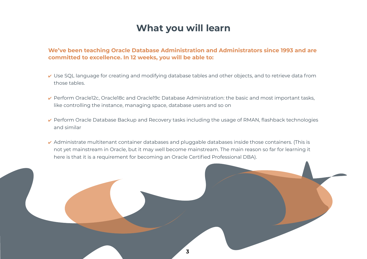## **What you will learn**

#### **We've been teaching Oracle Database Administration and Administrators since 1993 and are committed to excellence. In 12 weeks, you will be able to:**

- ✔ Use SQL language for creating and modifying database tables and other objects, and to retrieve data from those tables.
- ✔ Perform Oracle12c, Oracle18c and Oracle19c Database Administration: the basic and most important tasks, like controlling the instance, managing space, database users and so on
- ↓ Perform Oracle Database Backup and Recovery tasks including the usage of RMAN, flashback technologies and similar
- ✔ Administrate multitenant container databases and pluggable databases inside those containers. (This is not yet mainstream in Oracle, but it may well become mainstream. The main reason so far for learning it here is that it is a requirement for becoming an Oracle Certified Professional DBA).

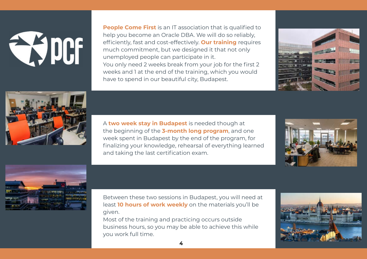# EQUOS

**People Come First** is an IT association that is qualified to help you become an Oracle DBA. We will do so reliably, efficiently, fast and cost-effectively. **Our training** requires much commitment, but we designed it that not only unemployed people can participate in it. You only need 2 weeks break from your job for the first 2 weeks and 1 at the end of the training, which you would have to spend in our beautiful city, Budapest.



A **two week stay in Budapest** is needed though at the beginning of the **3-month long program**, and one week spent in Budapest by the end of the program, for finalizing your knowledge, rehearsal of everything learned and taking the last certification exam.



Between these two sessions in Budapest, you will need at least **10 hours of work weekly** on the materials you'll be given.

Most of the training and practicing occurs outside business hours, so you may be able to achieve this while you work full time.

4





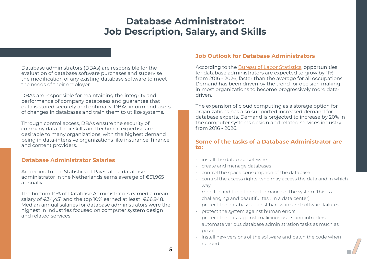## **Database Administrator: Job Description, Salary, and Skills**

<span id="page-5-0"></span>Database administrators (DBAs) are responsible for the evaluation of database software purchases and supervise the modification of any existing database software to meet the needs of their employer.

DBAs are responsible for maintaining the integrity and performance of company databases and guarantee that data is stored securely and optimally. DBAs inform end users of changes in databases and train them to utilize systems.

Through control access, DBAs ensure the security of company data. Their skills and technical expertise are desirable to many organizations, with the highest demand being in data-intensive organizations like insurance, finance, and content providers.

#### **Database Administrator Salaries**

According to the Statistics of PayScale, a database administrator in the Netherlands earns average of €51,965 annually.

The bottom 10% of Database Administrators earned a mean salary of €34,451 and the top 10% earned at least €66,948. Median annual salaries for database administrators were the highest in industries focused on computer system design and related services.

#### **Job Outlook for Database Administrators**

According to the [Bureau of Labor Statistics](https://www.thebalancecareers.com/bureau-of-labor-statistics-bls-2059767), opportunities for database administrators are expected to grow by 11% from 2016 - 2026, faster than the average for all occupations. Demand has been driven by the trend for decision making in most organizations to become progressively more datadriven.

The expansion of cloud computing as a storage option for organizations has also supported increased demand for database experts. Demand is projected to increase by 20% in the computer systems design and related services industry from 2016 - 2026.

#### **Some of the tasks of a Database Administrator are to:**

- install the database software
- create and manage databases
- control the space consumption of the database
- control the access rights: who may access the data and in which way
- monitor and tune the performance of the system (this is a challenging and beautiful task in a data center)
- protect the database against hardware and software failures
- protect the system against human errors
- protect the data against malicious users and intruders automate various database administration tasks as much as possible
- install new versions of the software and patch the code when needed

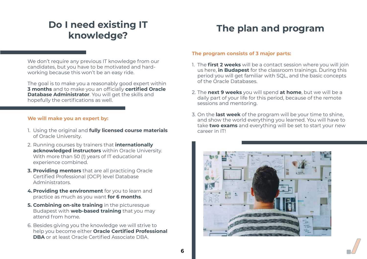## <span id="page-6-0"></span>**Do I need existing IT knowledge?**

We don't require any previous IT knowledge from our candidates, but you have to be motivated and hardworking because this won't be an easy ride.

The goal is to make you a reasonably good expert within **3 months** and to make you an officially **certified Oracle Database Administrator**. You will get the skills and hopefully the certifications as well.

#### **We will make you an expert by:**

- 1. Using the original and **fully licensed course materials** of Oracle University.
- 2. Running courses by trainers that **internationally acknowledged instructors** within Oracle University. With more than 50 (!) years of IT educational experience combined.
- **3. Providing mentors** that are all practicing Oracle Certified Professional (OCP) level Database Administrators.
- **4. Providing the environment** for you to learn and practice as much as you want **for 6 months**.
- **5. Combining on-site training** in the picturesque Budapest with **web-based training** that you may attend from home.
- 6. Besides giving you the knowledge we will strive to help you become either **Oracle Certified Professional DBA** or at least Oracle Certified Associate DBA.

## **The plan and program**

#### **The program consists of 3 major parts:**

- 1. The **first 2 weeks** will be a contact session where you will join us here, **in Budapest** for the classroom trainings. During this period you will get familiar with SQL, and the basic concepts of the Oracle Databases.
- 2. The **next 9 weeks** you will spend **at home**, but we will be a daily part of your life for this period, because of the remote sessions and mentoring.
- 3. On the **last week** of the program will be your time to shine, and show the world everything you learned. You will have to take **two exams** and everything will be set to start your new career in IT!



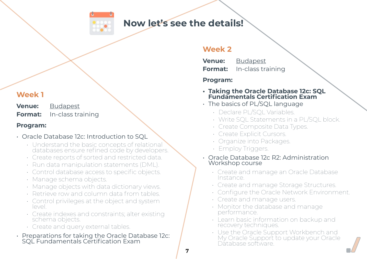

#### **Now let's see the details!**

7

#### **Week 1**

**Venue:** Budapest **Format:** In-class training

#### **Program:**

#### • Oracle Database 12c: Introduction to SQL

- Understand the basic concepts of relational databases ensure refined code by developers.
- Create reports of sorted and restricted data.
- Run data manipulation statements (DML).
- Control database access to specific objects.
- Manage schema objects.
- Manage objects with data dictionary views.
- Retrieve row and column data from tables.
- Control privileges at the object and system level.
- Create indexes and constraints; alter existing schema objects.
- Create and query external tables.
- Preparations for taking the Oracle Database 12c: SQL Fundamentals Certification Exam

- The basics of PL/SQL language
	- Declare PL/SQL Variables.
	- Write SQL Statements in a PL/SQL block.
	- Create Composite Data Types.
	- Create Explicit Cursors.
	- Organize into Packages.
	- Employ Triggers.
- Oracle Database 12c R2: Administration Workshop course
	- Create and manage an Oracle Database Instance.
	- Create and manage Storage Structures. • Configure the Oracle Network Environment.
	-
	- Create and manage users.
	- Monitor the database and manage performance.
	- Learn basic information on backup and recovery techniques.
	- Use the Oracle Support Workbench and My Oracle Support to update your Oracle Dătabase software.



#### **Week 2**

| <b>Venue:</b>  | <b>Budapest</b>   |
|----------------|-------------------|
| <b>Format:</b> | In-class training |

#### **Program:**

#### **• Taking the Oracle Database 12c: SQL Fundamentals Certification Exam**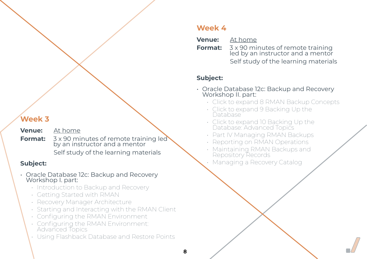- **Venue:** At home
- **Format:**  $3 \times 90$  minutes of remote training led by an instructor and a mentor

Self study of the learning materials

#### **Subject:**

## led by an instructor and a mentor e learning materials



- Oracle Database 12c: Backup and Recovery Workshop I. part:
	- Introduction to Backup and Recovery
	- Getting Started with RMAN
	- Recovery Manager Architecture
	- Starting and Interacting with the RMAN Client
	- Configuring the RMAN Environment
	- Configuring the RMAN Environment: Advanced Topics
	- Using Flashback Database and Restore Points

#### **Week 4**

| <b>Venue:</b> At home                                                                 |
|---------------------------------------------------------------------------------------|
| <b>Format:</b> 3 x 90 minutes of remote training<br>led by an instructor and a mentor |
| Self study of the learning material                                                   |

#### **Subject:**

8

- Oracle Database 12c: Backup and Recovery Workshop II. part:
	- Click to expand 8 RMAN Backup Concepts
	- Click to expand 9 Backing Up the Database
	- Click to expand 10 Backing Up the Database: Advanced Topics
	- Part IV Managing RMAN Backups
	- Reporting on RMAN Operations
	- Maintaining RMAN Backups and Repository Records
	- Managing a Recovery Catalog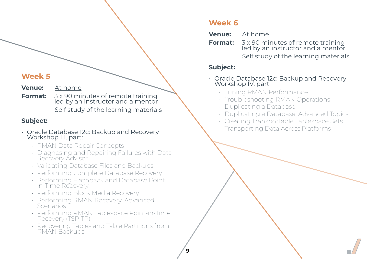**Venue:** At home

**Format:**  $3 \times 90$  minutes of remote training led by an instructor and a mentor Self study of the learning materials

#### **Subject:**

- Oracle Database 12c: Backup and Recovery Workshop III. part:
	- RMAN Data Repair Concepts
	- Diagnosing and Repairing Failures with Data Recovery Advisor
	- Validating Database Files and Backups
	- Performing Complete Database Recovery
	- Performing Flashback and Database Pointin-Time Recovery
	- Performing Block Media Recovery
	- Performing RMAN Recovery: Advanced Scenarios
	- Performing RMAN Tablespace Point-in-Time Recovery (TSPITR)
	- Recovering Tables and Table Partitions from RMAN Backups

#### **Week 6**

#### **Venue:** At home **Format:**  $3 \times 90$  minutes of remote training led by an instructor and a mentor Self study of the learning materials

#### **Subject:**

#### • Oracle Database 12c: Backup and Recovery

- Workshop IV. part
	- Tuning RMAN Performance
	- Troubleshooting RMAN Operations
	- Duplicating a Database
	-
	-
	- Transporting Data Across Platforms

• Duplicating a Database: Advanced Topics • Creating Transportable Tablespace Sets

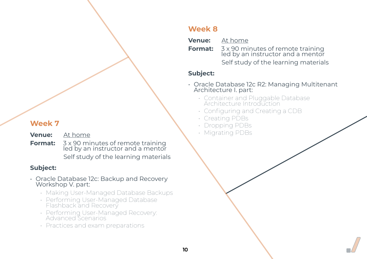- **Venue:** At home
- **Format:**  $3 \times 90$  minutes of remote training led by an instructor and a mentor Self study of the learning materials

#### **Subject:**

## **Format:**  $3 \times 90$  minutes of remote training Self study of the learning materials





- Oracle Database 12c: Backup and Recovery Workshop V. part:
	- Making User-Managed Database Backups
	- Performing User-Managed Database Flashback and Recovery
	- Performing User-Managed Recovery: Advanced Scenarios
	- Practices and exam preparations

#### **Week 8**

| <b>Venue:</b> | At home                                 |
|---------------|-----------------------------------------|
|               | <b>Enrmat:</b> $7 \times 90$ minutes of |

led by an instructor and a mentor

#### **Subject:**

10

- Oracle Database 12c R2: Managing Multitenant Architecture I. part:
	- Container and Pluggable Database Architecture Introduction
	- Configuring and Creating a CDB
	- Creating PDBs
	- Dropping PDBs
	- Migrating PDBs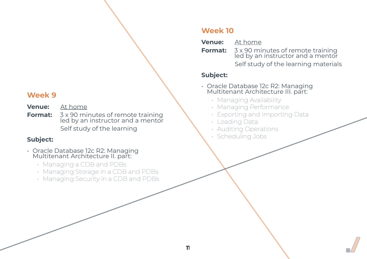- **Venue:** At home
- **Format:**  $3 \times 90$  minutes of remote training led by an instructor and a mentor Self study of the learning

#### **Subject:**

- Oracle Database 12c R2: Managing Multitenant Architecture II. part:
	- Managing a CDB and PDBs
	- Managing Storage in a CDB and PDBs
	- Managing Security in a CDB and PDBs

#### **Format:**  $3 \times 90$  minutes of remote training led by an instructor and a mentor Self study of the learning materials



#### **Week 10**

- **Venue:** At home
	- - -

#### **Subject:**

- Oracle Database 12c R2: Managing Multitenant Architecture III. part:
	- Managing Availability
	- Managing Performance • Exporting and Importing Data
	-
	- Loading Data
	- Auditing Operations
	- Scheduling Jobs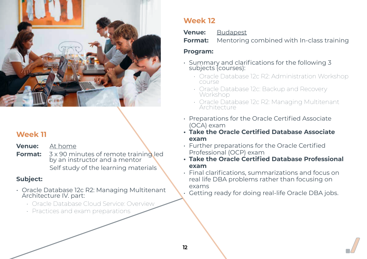

- **Venue:** At home
- **Format:**  $3 \times 90$  minutes of remote training led by an instructor and a mentor Self study of the learning materials

#### **Subject:**

- Oracle Database 12c R2: Managing Multitenant Architecture IV. part:
	- Oracle Database Cloud Service: Overview
	- Practices and exam preparations

#### **Week 12**

| <b>Venue:</b> | <b>Budapest</b>                  |
|---------------|----------------------------------|
|               | <b>Format:</b> Mentoring combine |

#### **Program:**

 $12<sup>2</sup>$ 

- Summary and clarifications for the following 3 subjects (courses):
	- Oracle Database 12c R2: Administration Workshop course
	- Oracle Database 12c: Backup and Recovery Workshop
	- Oracle Database 12c R2: Managing Multitenant Architecture
- Preparations for the Oracle Certified Associate (OCA) exam
- **• Take the Oracle Certified Database Associate exam**
- Further preparations for the Oracle Certified Professional (OCP) exam
- **• Take the Oracle Certified Database Professional exam**
- Final clarifications, summarizations and focus on real life DBA problems rather than focusing on exams
- Getting ready for doing real-life Oracle DBA jobs.

#### ed with In-class training

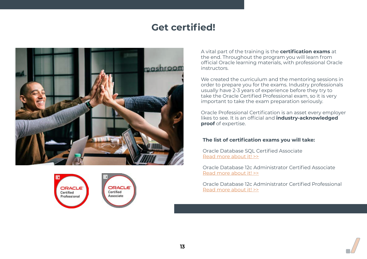## **Get certified!**

<span id="page-13-0"></span>





#### **The list of certification exams you will take:**

Oracle Database SQL Certified Associate [Read more about it! >>](https://education.oracle.com/products/trackp_457)

Oracle Database 12c Administrator Certified Associate [Read more about it! >>](https://education.oracle.com/products/trackp_248)

Oracle Database 12c Administrator Certified Professional [Read more about it! >>](https://education.oracle.com/oracle-database-12c-administrator-certified-professional/trackp_249)



A vital part of the training is the **certification exams** at the end. Throughout the program you will learn from official Oracle learning materials, with professional Oracle instructors.

We created the curriculum and the mentoring sessions in order to prepare you for the exams. Industry professionals usually have 2-3 years of experience before they try to take the Oracle Certified Professional exam, so it is very important to take the exam preparation seriously.

Oracle Professional Certification is an asset every employer likes to see. It is an official and **industry-acknowledged proof** of expertise.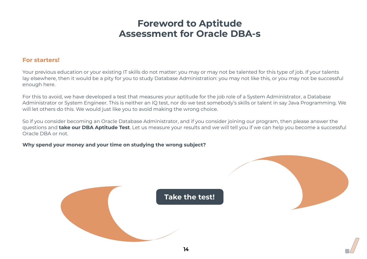## **Foreword to Aptitude Assessment for Oracle DBA-s**

#### <span id="page-14-0"></span>**For starters!**

Your previous education or your existing IT skills do not matter: you may or may not be talented for this type of job. If your talents lay elsewhere, then it would be a pity for you to study Database Administration: you may not like this, or you may not be successful enough here.

For this to avoid, we have developed a test that measures your aptitude for the job role of a System Administrator, a Database Administrator or System Engineer. This is neither an IQ test, nor do we test somebody's skills or talent in say Java Programming. We will let others do this. We would just like you to avoid making the wrong choice.

So if you consider becoming an Oracle Database Administrator, and if you consider joining our program, then please answer the questions and **take our DBA Aptitude Test**. Let us measure your results and we will tell you if we can help you become a successful Oracle DBA or not.

**Why spend your money and your time on studying the wrong subject?**





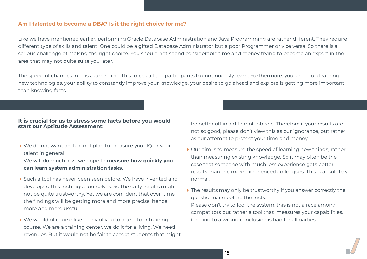#### **Am I talented to become a DBA? Is it the right choice for me?**

Like we have mentioned earlier, performing Oracle Database Administration and Java Programming are rather different. They require different type of skills and talent. One could be a gifted Database Administrator but a poor Programmer or vice versa. So there is a serious challenge of making the right choice. You should not spend considerable time and money trying to become an expert in the area that may not quite suite you later.

▶ We do not want and do not plan to measure your IQ or your talent in general.

The speed of changes in IT is astonishing. This forces all the participants to continuously learn. Furthermore: you speed up learning new technologies, your ability to constantly improve your knowledge, your desire to go ahead and explore is getting more important than knowing facts.

- ▶ Such a tool has never been seen before. We have invented and developed this technique ourselves. So the early results might not be quite trustworthy. Yet we are confident that over time the findings will be getting more and more precise, hence more and more useful.
- We would of course like many of you to attend our training course. We are a training center, we do it for a living. We need revenues. But it would not be fair to accept students that might

#### **It is crucial for us to stress some facts before you would start our Aptitude Assessment:**

We will do much less: we hope to **measure how quickly you can learn system administration tasks**.

- ▶ Our aim is to measure the speed of learning new things, rather than measuring existing knowledge. So it may often be the case that someone with much less experience gets better results than the more experienced colleagues. This is absolutely normal.
- If The results may only be trustworthy if you answer correctly the questionnaire before the tests. Please don't try to fool the system: this is not a race among competitors but rather a tool that measures your capabilities. Coming to a wrong conclusion is bad for all parties.



be better off in a different job role. Therefore if your results are not so good, please don't view this as our ignorance, but rather as our attempt to protect your time and money.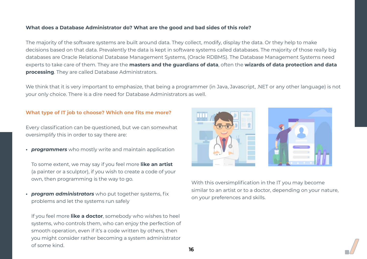#### **What type of IT job to choose? Which one fits me more?**

Every classification can be questioned, but we can somewhat oversimplify this in order to say there are:

*• programmers* who mostly write and maintain application

To some extent, we may say if you feel more **like an artist**  (a painter or a sculptor), if you wish to create a code of your own, then programming is the way to go.

*• program administrators* who put together systems, fix problems and let the systems run safely

If you feel more **like a doctor**, somebody who wishes to heel systems, who controls them, who can enjoy the perfection of smooth operation, even if it's a code written by others, then you might consider rather becoming a system administrator of some kind.



With this oversimplification in the IT you may become similar to an artist or to a doctor, depending on your nature, on your preferences and skills.





#### **What does a Database Administrator do? What are the good and bad sides of this role?**

The majority of the software systems are built around data. They collect, modify, display the data. Or they help to make decisions based on that data. Prevalently the data is kept in software systems called databases. The majority of those really big databases are Oracle Relational Database Management Systems, (Oracle RDBMS). The Database Management Systems need experts to take care of them. They are the **masters and the guardians of data**, often the **wizards of data protection and data processing**. They are called Database Administrators.

We think that it is very important to emphasize, that being a programmer (in Java, Javascript, .NET or any other language) is not your only choice. There is a dire need for Database Administrators as well.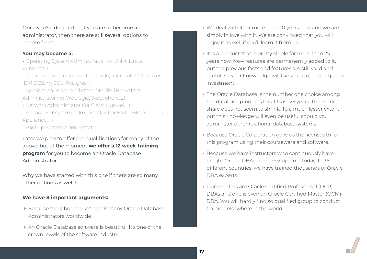Once you've decided that you are to become an administrator, then there are still several options to choose from.

#### **You may become a:**

- Operating System Administrator (for UNIX, Linux, Windows..)
- Database Administrator (for Oracle, Microsoft SQL Server, IBM DB2, MySQL, Postgres…)
- Application Server and other Middle Tier System Administrator (for Weblogic, Websphere, …)
- Network Administrator (for Cisco, Huawei, …)
- Storage Subsystem Administrator (for EMC, IBM, Network Appliance, …)
- Backup System Administrator

- Because the labor market needs many Oracle Database Administrators worldwide
- An Oracle Database software is beautiful. It's one of the crown jewels of the software industry.

Later we plan to offer pre-qualifications for many of the above, but at the moment **we offer a 12 week training program** for you to become an Oracle Database Administrator.

Why we have started with this one if there are so many other options as well?

#### **We have 8 important arguments:**

- We deal with it for more than 20 years now and we are simply in love with it. We are convinced that you will enjoy it as well if you'll learn it from us.
- It is a product that is pretty stable for more than  $25$ years now. New features are permanently added to it, but the previous facts and features are still valid and useful. So your knowledge will likely be a good long term investment.
- In The Oracle Database is the number one choice among the database products for at least 25 years. The market share does not seem to shrink. To a much lesser extent, but this knowledge will even be useful should you administer other relational database systems.
- Because Oracle Corporation gave us the licenses to run this program using their courseware and software.
- Because we have instructors who continuously have taught Oracle DBAs from 1992 up until today. In 36 different countries, we have trained thousands of Oracle DBA experts.
- ▶ Our mentors are Oracle Certified Professional (OCP) DBAs and one is even an Oracle Certified Master (OCM) DBA. You will hardly find so qualified group to conduct training elsewhere in the world.